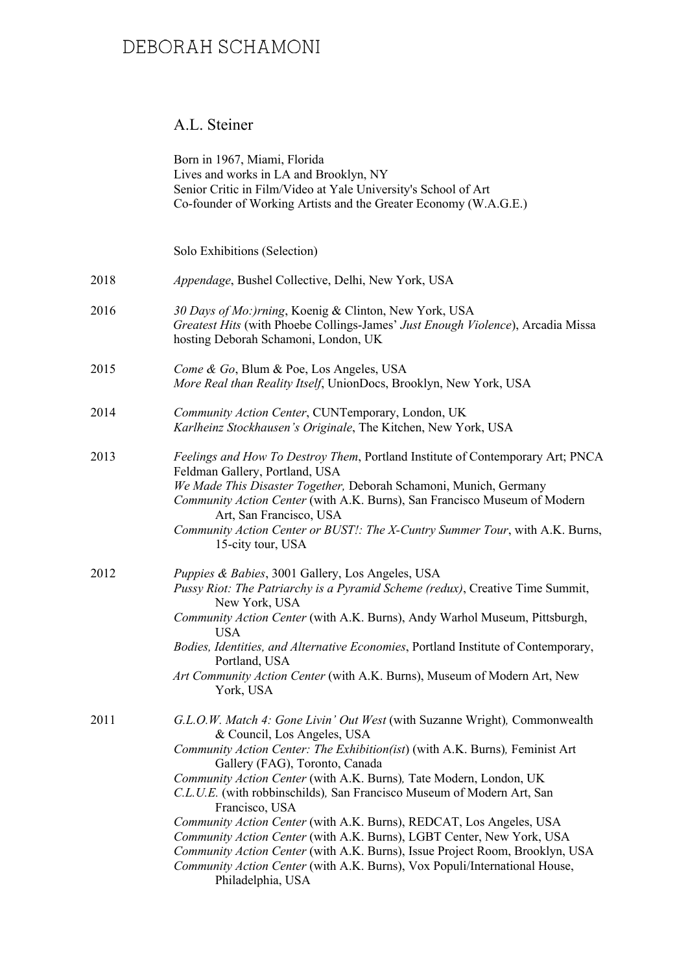### A.L. Steiner

|      | Born in 1967, Miami, Florida<br>Lives and works in LA and Brooklyn, NY<br>Senior Critic in Film/Video at Yale University's School of Art<br>Co-founder of Working Artists and the Greater Economy (W.A.G.E.)                                                                                                                                                                                                                                                                                                                                                                                                                                                                                                                     |
|------|----------------------------------------------------------------------------------------------------------------------------------------------------------------------------------------------------------------------------------------------------------------------------------------------------------------------------------------------------------------------------------------------------------------------------------------------------------------------------------------------------------------------------------------------------------------------------------------------------------------------------------------------------------------------------------------------------------------------------------|
|      | Solo Exhibitions (Selection)                                                                                                                                                                                                                                                                                                                                                                                                                                                                                                                                                                                                                                                                                                     |
| 2018 | Appendage, Bushel Collective, Delhi, New York, USA                                                                                                                                                                                                                                                                                                                                                                                                                                                                                                                                                                                                                                                                               |
| 2016 | 30 Days of Mo:)rning, Koenig & Clinton, New York, USA<br>Greatest Hits (with Phoebe Collings-James' Just Enough Violence), Arcadia Missa<br>hosting Deborah Schamoni, London, UK                                                                                                                                                                                                                                                                                                                                                                                                                                                                                                                                                 |
| 2015 | Come & Go, Blum & Poe, Los Angeles, USA<br>More Real than Reality Itself, UnionDocs, Brooklyn, New York, USA                                                                                                                                                                                                                                                                                                                                                                                                                                                                                                                                                                                                                     |
| 2014 | Community Action Center, CUNTemporary, London, UK<br>Karlheinz Stockhausen's Originale, The Kitchen, New York, USA                                                                                                                                                                                                                                                                                                                                                                                                                                                                                                                                                                                                               |
| 2013 | Feelings and How To Destroy Them, Portland Institute of Contemporary Art; PNCA<br>Feldman Gallery, Portland, USA<br>We Made This Disaster Together, Deborah Schamoni, Munich, Germany<br>Community Action Center (with A.K. Burns), San Francisco Museum of Modern<br>Art, San Francisco, USA<br>Community Action Center or BUST!: The X-Cuntry Summer Tour, with A.K. Burns,<br>15-city tour, USA                                                                                                                                                                                                                                                                                                                               |
| 2012 | Puppies & Babies, 3001 Gallery, Los Angeles, USA<br>Pussy Riot: The Patriarchy is a Pyramid Scheme (redux), Creative Time Summit,<br>New York, USA<br>Community Action Center (with A.K. Burns), Andy Warhol Museum, Pittsburgh,<br><b>USA</b><br>Bodies, Identities, and Alternative Economies, Portland Institute of Contemporary,<br>Portland, USA<br>Art Community Action Center (with A.K. Burns), Museum of Modern Art, New<br>York, USA                                                                                                                                                                                                                                                                                   |
| 2011 | G.L.O.W. Match 4: Gone Livin' Out West (with Suzanne Wright), Commonwealth<br>& Council, Los Angeles, USA<br>Community Action Center: The Exhibition(ist) (with A.K. Burns), Feminist Art<br>Gallery (FAG), Toronto, Canada<br>Community Action Center (with A.K. Burns), Tate Modern, London, UK<br>C.L.U.E. (with robbinschilds), San Francisco Museum of Modern Art, San<br>Francisco, USA<br>Community Action Center (with A.K. Burns), REDCAT, Los Angeles, USA<br>Community Action Center (with A.K. Burns), LGBT Center, New York, USA<br>Community Action Center (with A.K. Burns), Issue Project Room, Brooklyn, USA<br>Community Action Center (with A.K. Burns), Vox Populi/International House,<br>Philadelphia, USA |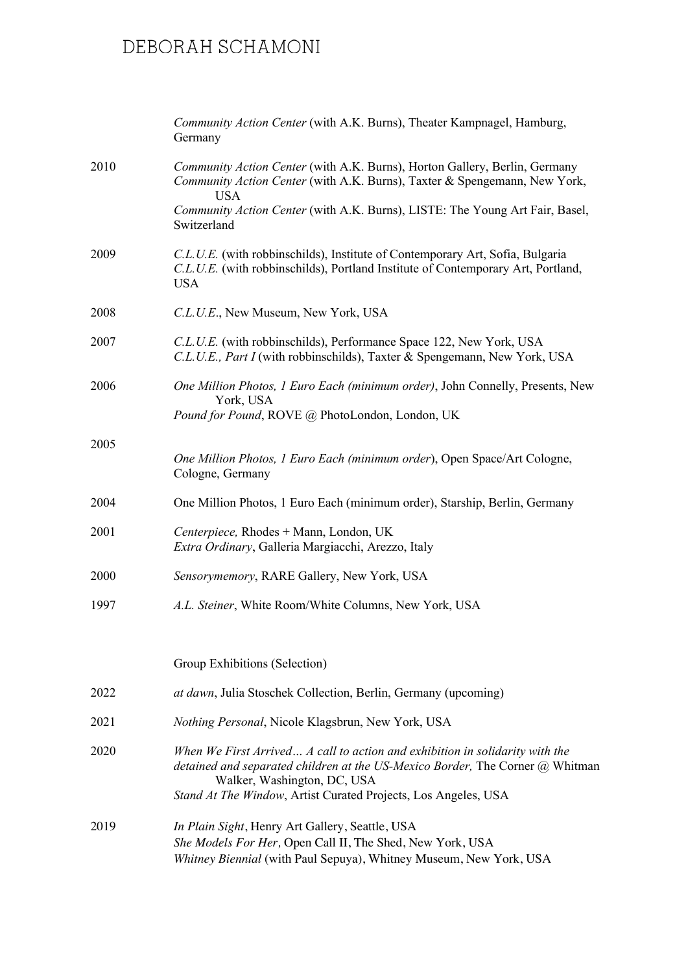|      | Community Action Center (with A.K. Burns), Theater Kampnagel, Hamburg,<br>Germany                                                                                                                                                                              |
|------|----------------------------------------------------------------------------------------------------------------------------------------------------------------------------------------------------------------------------------------------------------------|
| 2010 | Community Action Center (with A.K. Burns), Horton Gallery, Berlin, Germany<br>Community Action Center (with A.K. Burns), Taxter & Spengemann, New York,<br><b>USA</b>                                                                                          |
|      | Community Action Center (with A.K. Burns), LISTE: The Young Art Fair, Basel,<br>Switzerland                                                                                                                                                                    |
| 2009 | C.L.U.E. (with robbinschilds), Institute of Contemporary Art, Sofia, Bulgaria<br>C.L.U.E. (with robbinschilds), Portland Institute of Contemporary Art, Portland,<br><b>USA</b>                                                                                |
| 2008 | C.L.U.E., New Museum, New York, USA                                                                                                                                                                                                                            |
| 2007 | C.L.U.E. (with robbinschilds), Performance Space 122, New York, USA<br>C.L.U.E., Part I (with robbinschilds), Taxter & Spengemann, New York, USA                                                                                                               |
| 2006 | One Million Photos, 1 Euro Each (minimum order), John Connelly, Presents, New<br>York, USA<br>Pound for Pound, ROVE @ PhotoLondon, London, UK                                                                                                                  |
|      |                                                                                                                                                                                                                                                                |
| 2005 | One Million Photos, 1 Euro Each (minimum order), Open Space/Art Cologne,<br>Cologne, Germany                                                                                                                                                                   |
| 2004 | One Million Photos, 1 Euro Each (minimum order), Starship, Berlin, Germany                                                                                                                                                                                     |
| 2001 | Centerpiece, Rhodes + Mann, London, UK<br>Extra Ordinary, Galleria Margiacchi, Arezzo, Italy                                                                                                                                                                   |
| 2000 | Sensorymemory, RARE Gallery, New York, USA                                                                                                                                                                                                                     |
| 1997 | A.L. Steiner, White Room/White Columns, New York, USA                                                                                                                                                                                                          |
|      | Group Exhibitions (Selection)                                                                                                                                                                                                                                  |
| 2022 | at dawn, Julia Stoschek Collection, Berlin, Germany (upcoming)                                                                                                                                                                                                 |
| 2021 | Nothing Personal, Nicole Klagsbrun, New York, USA                                                                                                                                                                                                              |
| 2020 | When We First Arrived A call to action and exhibition in solidarity with the<br>detained and separated children at the US-Mexico Border, The Corner @ Whitman<br>Walker, Washington, DC, USA<br>Stand At The Window, Artist Curated Projects, Los Angeles, USA |
| 2019 | In Plain Sight, Henry Art Gallery, Seattle, USA<br>She Models For Her, Open Call II, The Shed, New York, USA<br>Whitney Biennial (with Paul Sepuya), Whitney Museum, New York, USA                                                                             |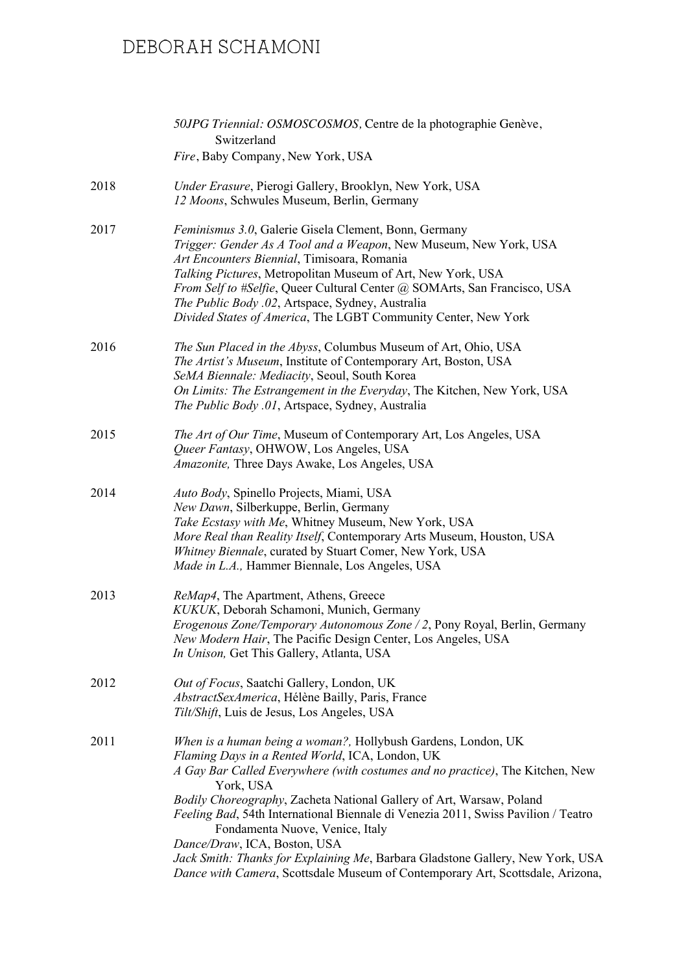|      | 50JPG Triennial: OSMOSCOSMOS, Centre de la photographie Genève,<br>Switzerland                                                                                                                                                                                                                                                                                                                                                                                                                                                   |
|------|----------------------------------------------------------------------------------------------------------------------------------------------------------------------------------------------------------------------------------------------------------------------------------------------------------------------------------------------------------------------------------------------------------------------------------------------------------------------------------------------------------------------------------|
|      | Fire, Baby Company, New York, USA                                                                                                                                                                                                                                                                                                                                                                                                                                                                                                |
| 2018 | Under Erasure, Pierogi Gallery, Brooklyn, New York, USA<br>12 Moons, Schwules Museum, Berlin, Germany                                                                                                                                                                                                                                                                                                                                                                                                                            |
| 2017 | Feminismus 3.0, Galerie Gisela Clement, Bonn, Germany<br>Trigger: Gender As A Tool and a Weapon, New Museum, New York, USA<br>Art Encounters Biennial, Timisoara, Romania<br>Talking Pictures, Metropolitan Museum of Art, New York, USA<br>From Self to #Selfie, Queer Cultural Center @ SOMArts, San Francisco, USA<br>The Public Body .02, Artspace, Sydney, Australia<br>Divided States of America, The LGBT Community Center, New York                                                                                      |
| 2016 | The Sun Placed in the Abyss, Columbus Museum of Art, Ohio, USA<br>The Artist's Museum, Institute of Contemporary Art, Boston, USA<br>SeMA Biennale: Mediacity, Seoul, South Korea<br>On Limits: The Estrangement in the Everyday, The Kitchen, New York, USA<br>The Public Body .01, Artspace, Sydney, Australia                                                                                                                                                                                                                 |
| 2015 | The Art of Our Time, Museum of Contemporary Art, Los Angeles, USA<br>Queer Fantasy, OHWOW, Los Angeles, USA<br>Amazonite, Three Days Awake, Los Angeles, USA                                                                                                                                                                                                                                                                                                                                                                     |
| 2014 | Auto Body, Spinello Projects, Miami, USA<br>New Dawn, Silberkuppe, Berlin, Germany<br>Take Ecstasy with Me, Whitney Museum, New York, USA<br>More Real than Reality Itself, Contemporary Arts Museum, Houston, USA<br>Whitney Biennale, curated by Stuart Comer, New York, USA<br>Made in L.A., Hammer Biennale, Los Angeles, USA                                                                                                                                                                                                |
| 2013 | ReMap4, The Apartment, Athens, Greece<br>KUKUK, Deborah Schamoni, Munich, Germany<br>Erogenous Zone/Temporary Autonomous Zone / 2, Pony Royal, Berlin, Germany<br>New Modern Hair, The Pacific Design Center, Los Angeles, USA<br>In Unison, Get This Gallery, Atlanta, USA                                                                                                                                                                                                                                                      |
| 2012 | Out of Focus, Saatchi Gallery, London, UK<br>AbstractSexAmerica, Hélène Bailly, Paris, France<br>Tilt/Shift, Luis de Jesus, Los Angeles, USA                                                                                                                                                                                                                                                                                                                                                                                     |
| 2011 | When is a human being a woman?, Hollybush Gardens, London, UK<br>Flaming Days in a Rented World, ICA, London, UK<br>A Gay Bar Called Everywhere (with costumes and no practice), The Kitchen, New<br>York, USA<br>Bodily Choreography, Zacheta National Gallery of Art, Warsaw, Poland<br>Feeling Bad, 54th International Biennale di Venezia 2011, Swiss Pavilion / Teatro<br>Fondamenta Nuove, Venice, Italy<br>Dance/Draw, ICA, Boston, USA<br>Jack Smith: Thanks for Explaining Me, Barbara Gladstone Gallery, New York, USA |
|      | Dance with Camera, Scottsdale Museum of Contemporary Art, Scottsdale, Arizona,                                                                                                                                                                                                                                                                                                                                                                                                                                                   |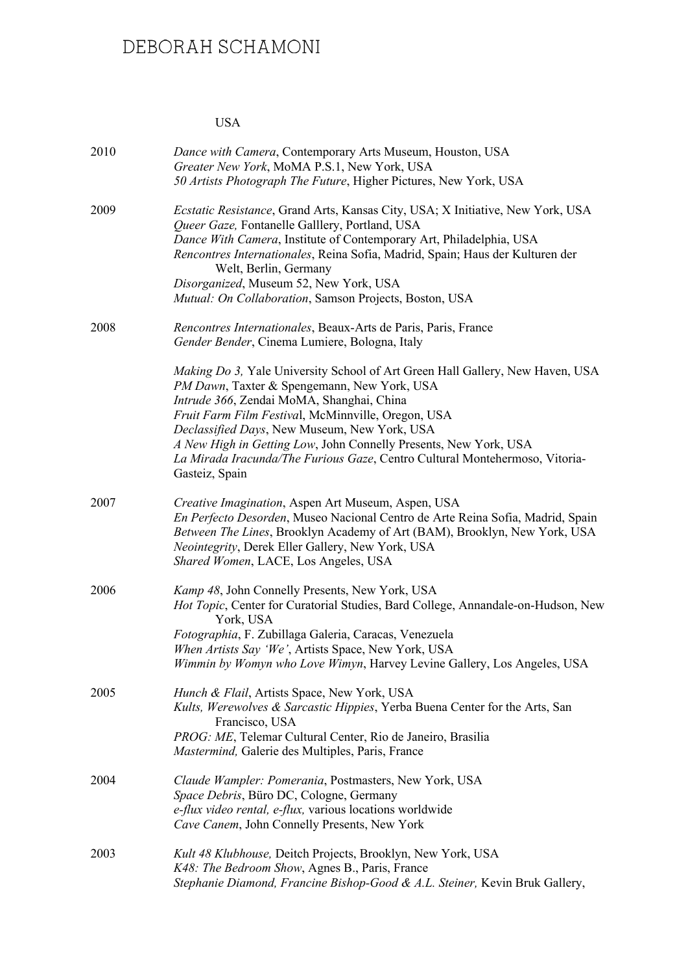#### USA

| 2010 | Dance with Camera, Contemporary Arts Museum, Houston, USA<br>Greater New York, MoMA P.S.1, New York, USA<br>50 Artists Photograph The Future, Higher Pictures, New York, USA                                                                                                                                                                                                                                                                                |
|------|-------------------------------------------------------------------------------------------------------------------------------------------------------------------------------------------------------------------------------------------------------------------------------------------------------------------------------------------------------------------------------------------------------------------------------------------------------------|
| 2009 | Ecstatic Resistance, Grand Arts, Kansas City, USA; X Initiative, New York, USA<br>Queer Gaze, Fontanelle Galllery, Portland, USA<br>Dance With Camera, Institute of Contemporary Art, Philadelphia, USA<br>Rencontres Internationales, Reina Sofia, Madrid, Spain; Haus der Kulturen der<br>Welt, Berlin, Germany<br>Disorganized, Museum 52, New York, USA<br>Mutual: On Collaboration, Samson Projects, Boston, USA                                       |
| 2008 | Rencontres Internationales, Beaux-Arts de Paris, Paris, France<br>Gender Bender, Cinema Lumiere, Bologna, Italy                                                                                                                                                                                                                                                                                                                                             |
|      | <i>Making Do 3, Yale University School of Art Green Hall Gallery, New Haven, USA</i><br>PM Dawn, Taxter & Spengemann, New York, USA<br>Intrude 366, Zendai MoMA, Shanghai, China<br>Fruit Farm Film Festival, McMinnville, Oregon, USA<br>Declassified Days, New Museum, New York, USA<br>A New High in Getting Low, John Connelly Presents, New York, USA<br>La Mirada Iracunda/The Furious Gaze, Centro Cultural Montehermoso, Vitoria-<br>Gasteiz, Spain |
| 2007 | Creative Imagination, Aspen Art Museum, Aspen, USA<br>En Perfecto Desorden, Museo Nacional Centro de Arte Reina Sofia, Madrid, Spain<br>Between The Lines, Brooklyn Academy of Art (BAM), Brooklyn, New York, USA<br>Neointegrity, Derek Eller Gallery, New York, USA<br>Shared Women, LACE, Los Angeles, USA                                                                                                                                               |
| 2006 | Kamp 48, John Connelly Presents, New York, USA<br>Hot Topic, Center for Curatorial Studies, Bard College, Annandale-on-Hudson, New<br>York, USA<br>Fotographia, F. Zubillaga Galeria, Caracas, Venezuela<br>When Artists Say 'We', Artists Space, New York, USA<br>Wimmin by Womyn who Love Wimyn, Harvey Levine Gallery, Los Angeles, USA                                                                                                                  |
| 2005 | Hunch & Flail, Artists Space, New York, USA<br>Kults, Werewolves & Sarcastic Hippies, Yerba Buena Center for the Arts, San<br>Francisco, USA<br>PROG: ME, Telemar Cultural Center, Rio de Janeiro, Brasilia<br>Mastermind, Galerie des Multiples, Paris, France                                                                                                                                                                                             |
| 2004 | Claude Wampler: Pomerania, Postmasters, New York, USA<br>Space Debris, Büro DC, Cologne, Germany<br>e-flux video rental, e-flux, various locations worldwide<br>Cave Canem, John Connelly Presents, New York                                                                                                                                                                                                                                                |
| 2003 | Kult 48 Klubhouse, Deitch Projects, Brooklyn, New York, USA<br>K48: The Bedroom Show, Agnes B., Paris, France<br>Stephanie Diamond, Francine Bishop-Good & A.L. Steiner, Kevin Bruk Gallery,                                                                                                                                                                                                                                                                |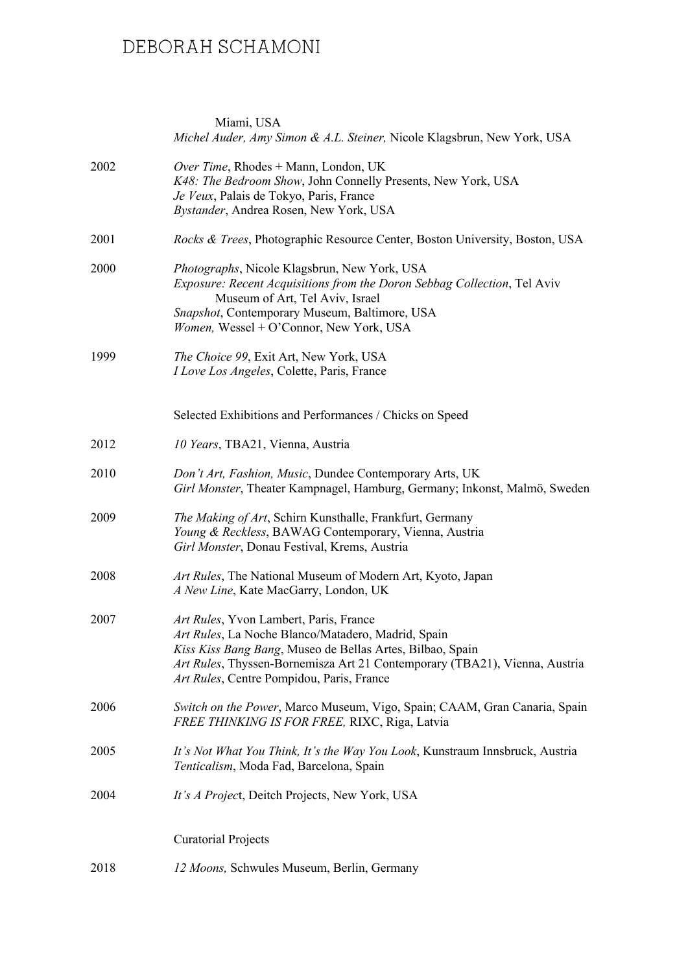|      | Miami, USA<br>Michel Auder, Amy Simon & A.L. Steiner, Nicole Klagsbrun, New York, USA                                                                                                                                                                                                |
|------|--------------------------------------------------------------------------------------------------------------------------------------------------------------------------------------------------------------------------------------------------------------------------------------|
| 2002 | Over Time, Rhodes + Mann, London, UK<br>K48: The Bedroom Show, John Connelly Presents, New York, USA<br>Je Veux, Palais de Tokyo, Paris, France<br>Bystander, Andrea Rosen, New York, USA                                                                                            |
| 2001 | Rocks & Trees, Photographic Resource Center, Boston University, Boston, USA                                                                                                                                                                                                          |
| 2000 | Photographs, Nicole Klagsbrun, New York, USA<br>Exposure: Recent Acquisitions from the Doron Sebbag Collection, Tel Aviv<br>Museum of Art, Tel Aviv, Israel<br>Snapshot, Contemporary Museum, Baltimore, USA<br>Women, Wessel + O'Connor, New York, USA                              |
| 1999 | The Choice 99, Exit Art, New York, USA<br>I Love Los Angeles, Colette, Paris, France                                                                                                                                                                                                 |
|      | Selected Exhibitions and Performances / Chicks on Speed                                                                                                                                                                                                                              |
| 2012 | 10 Years, TBA21, Vienna, Austria                                                                                                                                                                                                                                                     |
| 2010 | Don't Art, Fashion, Music, Dundee Contemporary Arts, UK<br>Girl Monster, Theater Kampnagel, Hamburg, Germany; Inkonst, Malmö, Sweden                                                                                                                                                 |
| 2009 | The Making of Art, Schirn Kunsthalle, Frankfurt, Germany<br>Young & Reckless, BAWAG Contemporary, Vienna, Austria<br>Girl Monster, Donau Festival, Krems, Austria                                                                                                                    |
| 2008 | Art Rules, The National Museum of Modern Art, Kyoto, Japan<br>A New Line, Kate MacGarry, London, UK                                                                                                                                                                                  |
| 2007 | Art Rules, Yvon Lambert, Paris, France<br>Art Rules, La Noche Blanco/Matadero, Madrid, Spain<br>Kiss Kiss Bang Bang, Museo de Bellas Artes, Bilbao, Spain<br>Art Rules, Thyssen-Bornemisza Art 21 Contemporary (TBA21), Vienna, Austria<br>Art Rules, Centre Pompidou, Paris, France |
| 2006 | Switch on the Power, Marco Museum, Vigo, Spain; CAAM, Gran Canaria, Spain<br>FREE THINKING IS FOR FREE, RIXC, Riga, Latvia                                                                                                                                                           |
| 2005 | It's Not What You Think, It's the Way You Look, Kunstraum Innsbruck, Austria<br>Tenticalism, Moda Fad, Barcelona, Spain                                                                                                                                                              |
| 2004 | It's A Project, Deitch Projects, New York, USA                                                                                                                                                                                                                                       |
|      | <b>Curatorial Projects</b>                                                                                                                                                                                                                                                           |
| 2018 | 12 Moons, Schwules Museum, Berlin, Germany                                                                                                                                                                                                                                           |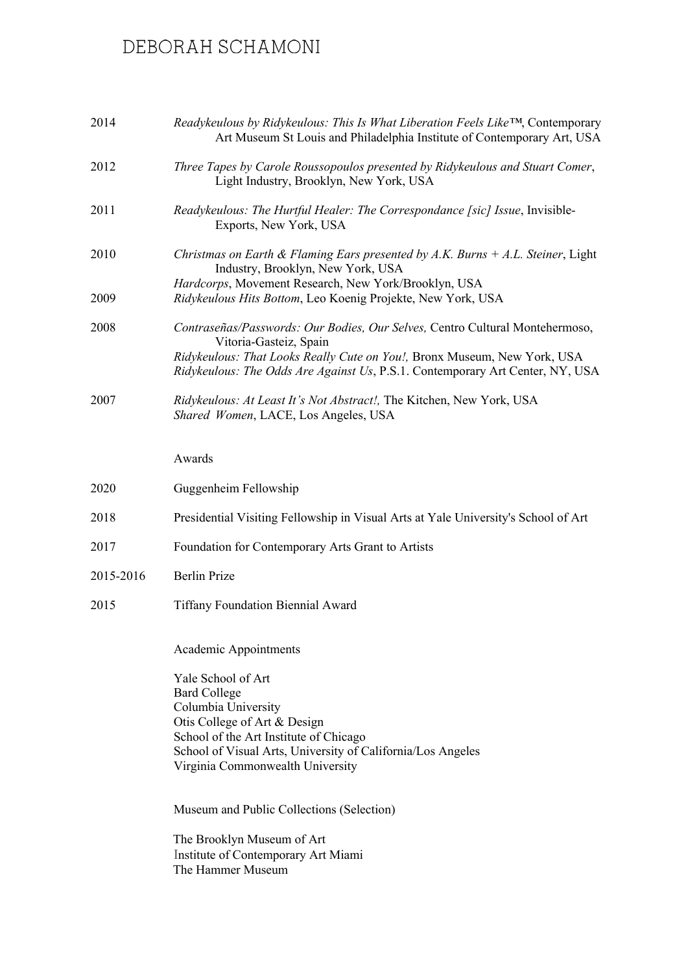| 2014      | Readykeulous by Ridykeulous: This Is What Liberation Feels Like <sup>TM</sup> , Contemporary<br>Art Museum St Louis and Philadelphia Institute of Contemporary Art, USA                                                                                             |
|-----------|---------------------------------------------------------------------------------------------------------------------------------------------------------------------------------------------------------------------------------------------------------------------|
| 2012      | Three Tapes by Carole Roussopoulos presented by Ridykeulous and Stuart Comer,<br>Light Industry, Brooklyn, New York, USA                                                                                                                                            |
| 2011      | Readykeulous: The Hurtful Healer: The Correspondance [sic] Issue, Invisible-<br>Exports, New York, USA                                                                                                                                                              |
| 2010      | Christmas on Earth & Flaming Ears presented by $A.K.$ Burns $+ A.L.$ Steiner, Light<br>Industry, Brooklyn, New York, USA                                                                                                                                            |
| 2009      | Hardcorps, Movement Research, New York/Brooklyn, USA<br>Ridykeulous Hits Bottom, Leo Koenig Projekte, New York, USA                                                                                                                                                 |
| 2008      | Contraseñas/Passwords: Our Bodies, Our Selves, Centro Cultural Montehermoso,<br>Vitoria-Gasteiz, Spain<br>Ridykeulous: That Looks Really Cute on You!, Bronx Museum, New York, USA<br>Ridykeulous: The Odds Are Against Us, P.S.1. Contemporary Art Center, NY, USA |
| 2007      | Ridykeulous: At Least It's Not Abstract!, The Kitchen, New York, USA<br>Shared Women, LACE, Los Angeles, USA                                                                                                                                                        |
|           | Awards                                                                                                                                                                                                                                                              |
| 2020      | Guggenheim Fellowship                                                                                                                                                                                                                                               |
| 2018      | Presidential Visiting Fellowship in Visual Arts at Yale University's School of Art                                                                                                                                                                                  |
| 2017      | Foundation for Contemporary Arts Grant to Artists                                                                                                                                                                                                                   |
| 2015-2016 | <b>Berlin Prize</b>                                                                                                                                                                                                                                                 |
| 2015      | <b>Tiffany Foundation Biennial Award</b>                                                                                                                                                                                                                            |
|           | Academic Appointments                                                                                                                                                                                                                                               |
|           | Yale School of Art<br><b>Bard College</b><br>Columbia University<br>Otis College of Art & Design<br>School of the Art Institute of Chicago<br>School of Visual Arts, University of California/Los Angeles<br>Virginia Commonwealth University                       |
|           | Museum and Public Collections (Selection)<br>The Brooklyn Museum of Art<br>Institute of Contemporary Art Miami<br>The Hammer Museum                                                                                                                                 |
|           |                                                                                                                                                                                                                                                                     |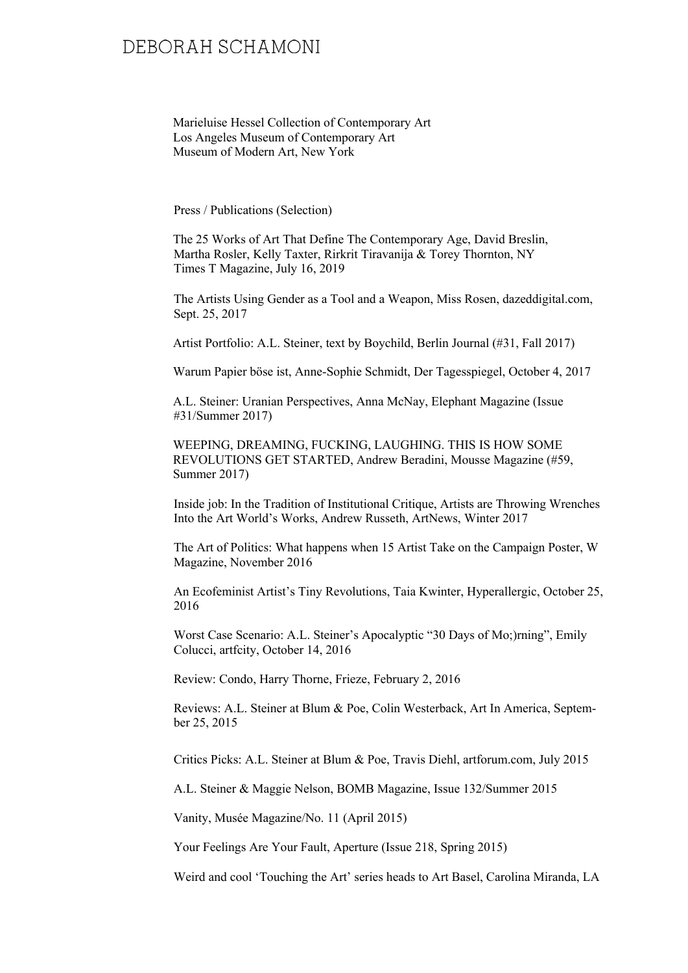Marieluise Hessel Collection of Contemporary Art Los Angeles Museum of Contemporary Art Museum of Modern Art, New York

Press / Publications (Selection)

The 25 Works of Art That Define The Contemporary Age, David Breslin, Martha Rosler, Kelly Taxter, Rirkrit Tiravanija & Torey Thornton, NY Times T Magazine, July 16, 2019

The Artists Using Gender as a Tool and a Weapon, Miss Rosen, dazeddigital.com, Sept. 25, 2017

Artist Portfolio: A.L. Steiner, text by Boychild, Berlin Journal (#31, Fall 2017)

Warum Papier böse ist, Anne-Sophie Schmidt, Der Tagesspiegel, October 4, 2017

A.L. Steiner: Uranian Perspectives, Anna McNay, Elephant Magazine (Issue #31/Summer 2017)

WEEPING, DREAMING, FUCKING, LAUGHING. THIS IS HOW SOME REVOLUTIONS GET STARTED, Andrew Beradini, Mousse Magazine (#59, Summer 2017)

Inside job: In the Tradition of Institutional Critique, Artists are Throwing Wrenches Into the Art World's Works, Andrew Russeth, ArtNews, Winter 2017

The Art of Politics: What happens when 15 Artist Take on the Campaign Poster, W Magazine, November 2016

An Ecofeminist Artist's Tiny Revolutions, Taia Kwinter, Hyperallergic, October 25, 2016

Worst Case Scenario: A.L. Steiner's Apocalyptic "30 Days of Mo;)rning", Emily Colucci, artfcity, October 14, 2016

Review: Condo, Harry Thorne, Frieze, February 2, 2016

Reviews: A.L. Steiner at Blum & Poe, Colin Westerback, Art In America, September 25, 2015

Critics Picks: A.L. Steiner at Blum & Poe, Travis Diehl, artforum.com, July 2015

A.L. Steiner & Maggie Nelson, BOMB Magazine, Issue 132/Summer 2015

Vanity, Musée Magazine/No. 11 (April 2015)

Your Feelings Are Your Fault, Aperture (Issue 218, Spring 2015)

Weird and cool 'Touching the Art' series heads to Art Basel, Carolina Miranda, LA